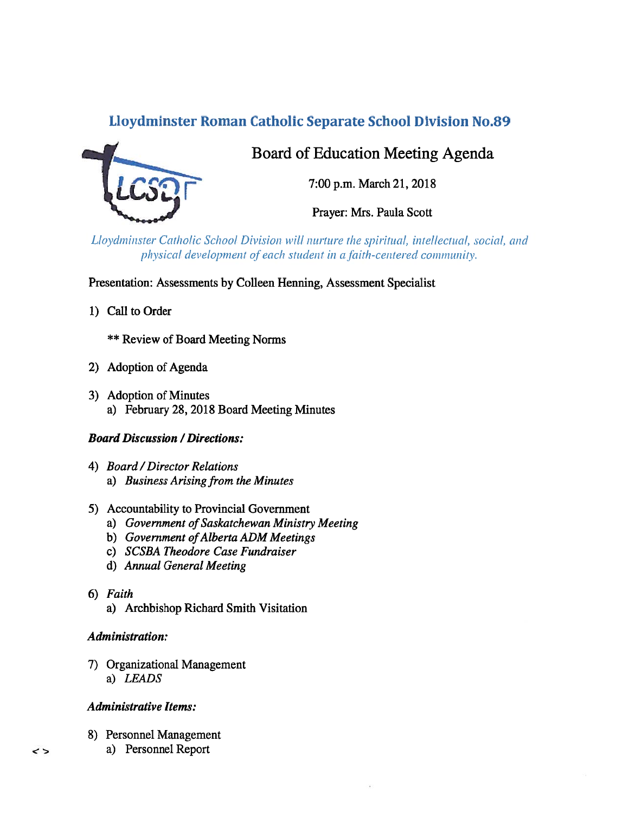# Lloydminster Roman Catholic Separate School Division No.89



# Board of Education Meeting Agenda

7:00 p.m. March 21, 2018

Prayer: Mrs. Paula Scott

Lloydminster Catholic School Division will nurture the spiritual, intellectual, social, and physical development of each student in a faith-centered community.

Presentation: Assessments by Colleen Henning, Assessment Specialist

1) Call to Order

\*\* Review of Board Meeting Norms

- 2) Adoption of Agenda
- 3) Adoption of Minutes a) February 28, 2018 Board Meeting Minutes

## **Board Discussion / Directions:**

- 4) Board/Director Relations a) Business Arising from the Minutes
- 5) Accountability to Provincial Government
	- a) Government of Saskatchewan Ministry Meeting
	- b) Government of Alberta ADM Meetings
	- c) SCSBA Theodore Case Fundraiser
	- d) Annual General Meeting
- 6) Faith
	- a) Archbishop Richard Smith Visitation

## Administration:

7) Organizational Management a) LEADS

# Administrative Items:

- 8) Personnel Management
	- a) Personnel Report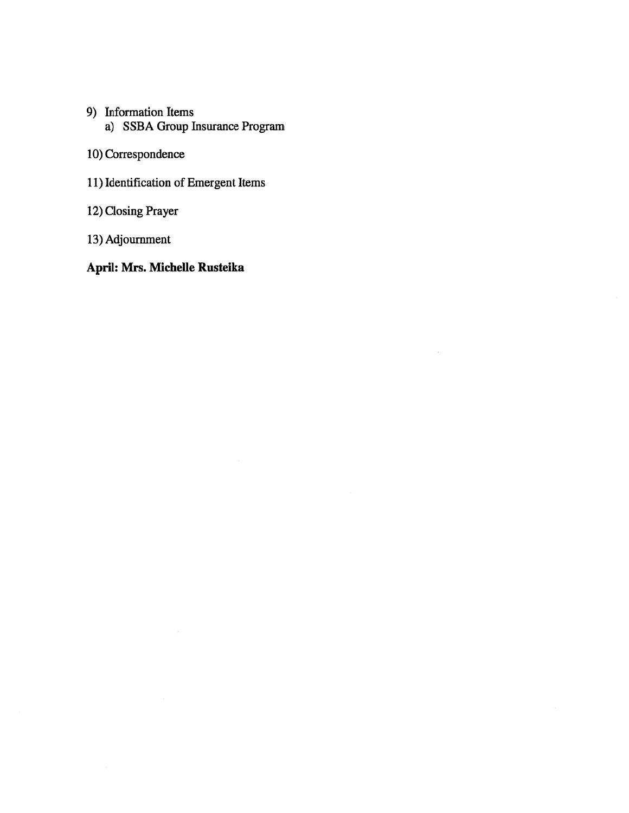- 9) Information Items a) SSBA Group Insurance Program
- 10) Correspondence
- 11) Identification of Emergent Items
- 12) Closing Prayer
- 13) Adjournment

# April: Mrs. Michelle Rusteika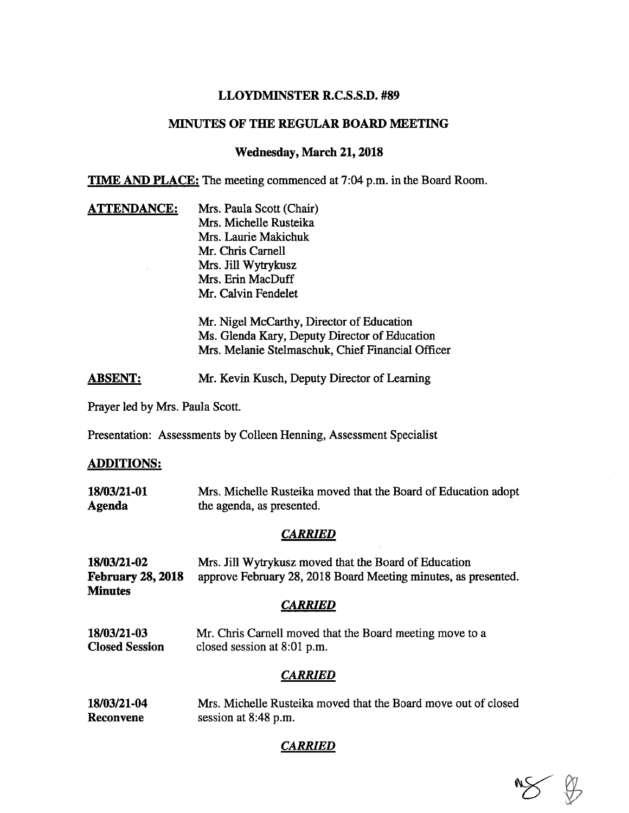## LLOYDMINSTER R.C.S.S.D. #89

### MINUTES OF THE REGULAR BOARD MEETING

### Wednesday, March 21, 2018

TIME AND PLACE: The meeting commenced at 7:04 p.m. in the Board Room.

**ATTENDANCE:** Mrs. Paula Scott (Chair) Mrs. Michelle Rusteika Mrs. Laurie Makichuk Mr. Chris Carnell Mrs. Jill Wytrykusz Mrs. Erin MacDuff Mr. Calvin Fendelet

> Mr. Nigel McCarthy, Director of Education Ms. Glenda Kary, Deputy Director of Education Mrs. Melanie Stelmaschuk, Chief Financial Officer

ABSENT: Mr. Kevin Kusch, Deputy Director of Learning

Prayer led by Mrs. Paula Scott.

Presentation: Assessments by Colleen Henning, Assessment Specialist

### ADDITIONS:

| 18/03/21-01 | Mrs. Michelle Rusteika moved that the Board of Education adopt |
|-------------|----------------------------------------------------------------|
| Agenda      | the agenda, as presented.                                      |

#### **CARRIED**

| 18/03/21-02              | Mrs. Jill Wytrykusz moved that the Board of Education          |
|--------------------------|----------------------------------------------------------------|
| <b>February 28, 2018</b> | approve February 28, 2018 Board Meeting minutes, as presented. |
| <b>Minutes</b>           |                                                                |
|                          | <b>CARRIED</b>                                                 |
| 18/03/21-03              | Mr. Chris Carnell moved that the Board meeting move to a       |
| <b>Closed Session</b>    | closed session at $8:01$ p.m.                                  |
|                          | <b>CARRIED</b>                                                 |
|                          |                                                                |

18/03/21-04 Mrs. Michelle Rusteika moved that the Board move out of closed Reconvene session at 8:48 p.m.

### **CARRIED**

 $\n *0 0 0 0 0 0 0 0 0 0 0 0 0 0 0 0 0 0 0 0 0 0 0 0 0 0 0 0 0 0 0* <$